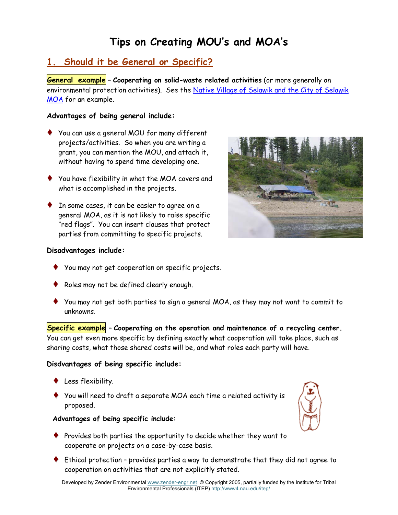# **Tips on Creating MOU's and MOA's**

# **1. Should it be General or Specific?**

**General example** – **Cooperating on solid-waste related activities** (or more generally on environmental protection activities). See the Native Village of Selawik and the City of Selawik MOA for an example.

#### **Advantages of being general include:**

- **♦** You can use a general MOU for many different projects/activities. So when you are writing a grant, you can mention the MOU, and attach it, without having to spend time developing one.
- **♦** You have flexibility in what the MOA covers and what is accomplished in the projects.
- **♦** In some cases, it can be easier to agree on a general MOA, as it is not likely to raise specific "red flags". You can insert clauses that protect parties from committing to specific projects.



#### **Disadvantages include:**

- **♦** You may not get cooperation on specific projects.
- **♦** Roles may not be defined clearly enough.
- **♦** You may not get both parties to sign a general MOA, as they may not want to commit to unknowns.

**Specific example** – **Cooperating on the operation and maintenance of a recycling center.** You can get even more specific by defining exactly what cooperation will take place, such as sharing costs, what those shared costs will be, and what roles each party will have.

#### **Disdvantages of being specific include:**

- **♦** Less flexibility.
- **♦** You will need to draft a separate MOA each time a related activity is proposed.

#### **Advantages of being specific include:**

- **♦** Provides both parties the opportunity to decide whether they want to cooperate on projects on a case-by-case basis.
- **♦** Ethical protection provides parties a way to demonstrate that they did not agree to cooperation on activities that are not explicitly stated.